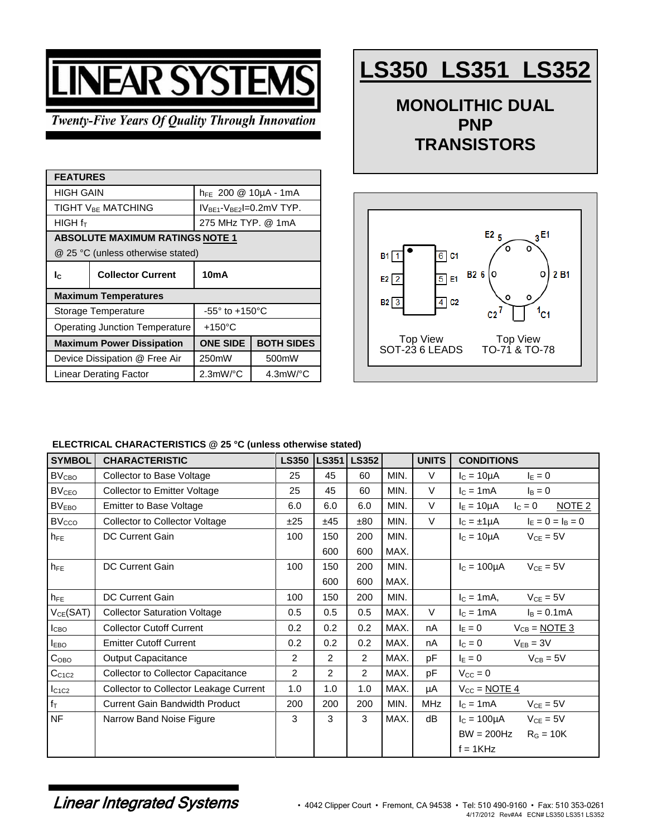# **VEAR SYSTEM**

**Twenty-Five Years Of Quality Through Innovation** 

| <b>FEATURES</b>                                                             |                          |                                                 |                   |  |  |  |
|-----------------------------------------------------------------------------|--------------------------|-------------------------------------------------|-------------------|--|--|--|
| HIGH GAIN                                                                   |                          | $h_{FE}$ 200 @ 10µA - 1mA                       |                   |  |  |  |
| <b>TIGHT VBF MATCHING</b>                                                   |                          | $IVBF1-VBF2=0.2mV TYP.$                         |                   |  |  |  |
| HIGH f <sub>T</sub>                                                         |                          | 275 MHz TYP. @ 1mA                              |                   |  |  |  |
| <b>ABSOLUTE MAXIMUM RATINGS NOTE 1</b><br>@ 25 °C (unless otherwise stated) |                          |                                                 |                   |  |  |  |
| Ic.                                                                         | <b>Collector Current</b> | 10mA                                            |                   |  |  |  |
| <b>Maximum Temperatures</b>                                                 |                          |                                                 |                   |  |  |  |
| Storage Temperature                                                         |                          | $-55^\circ$ to $+150^\circ$ C                   |                   |  |  |  |
| Operating Junction Temperature                                              |                          | $+150^{\circ}$ C                                |                   |  |  |  |
| <b>Maximum Power Dissipation</b>                                            |                          | <b>ONE SIDE</b>                                 | <b>BOTH SIDES</b> |  |  |  |
| Device Dissipation @ Free Air                                               |                          | 250mW                                           | 500mW             |  |  |  |
| Linear Derating Factor                                                      |                          | $2.3$ mW/ $^{\circ}$ C<br>$4.3$ mW/ $\degree$ C |                   |  |  |  |

## **LS350 LS351 LS352**

**MONOLITHIC DUAL PNP TRANSISTORS**



#### **ELECTRICAL CHARACTERISTICS @ 25 °C (unless otherwise stated)**

| <b>SYMBOL</b>           | <b>CHARACTERISTIC</b>                     | <b>LS350</b>   |     | LS351 LS352    |      | <b>UNITS</b> | <b>CONDITIONS</b>                                  |
|-------------------------|-------------------------------------------|----------------|-----|----------------|------|--------------|----------------------------------------------------|
| BV <sub>CBO</sub>       | Collector to Base Voltage                 | 25             | 45  | 60             | MIN. | $\vee$       | $I_c = 10 \mu A$<br>$I_E = 0$                      |
| <b>BV<sub>CEO</sub></b> | <b>Collector to Emitter Voltage</b>       | 25             | 45  | 60             | MIN. | V            | $IC = 1mA$<br>$I_B = 0$                            |
| BV <sub>EBO</sub>       | <b>Emitter to Base Voltage</b>            | 6.0            | 6.0 | 6.0            | MIN. | $\vee$       | $I_E = 10 \mu A$<br>NOTE <sub>2</sub><br>$I_C = 0$ |
| <b>BVcco</b>            | <b>Collector to Collector Voltage</b>     | ±25            | ±45 | ±80            | MIN. | $\vee$       | $I_E = 0 = I_B = 0$<br>$I_C = \pm 1 \mu A$         |
| $h_{FE}$                | DC Current Gain                           | 100            | 150 | 200            | MIN. |              | $V_{CE} = 5V$<br>$I_c = 10 \mu A$                  |
|                         |                                           |                | 600 | 600            | MAX. |              |                                                    |
| $h_{FE}$                | <b>DC Current Gain</b>                    | 100            | 150 | 200            | MIN. |              | $IC = 100µA$<br>$V_{CE} = 5V$                      |
|                         |                                           |                | 600 | 600            | MAX. |              |                                                    |
| $h_{FE}$                | <b>DC Current Gain</b>                    | 100            | 150 | 200            | MIN. |              | $IC = 1mA,$<br>$V_{CE} = 5V$                       |
| $V_{CE}(SAT)$           | <b>Collector Saturation Voltage</b>       | 0.5            | 0.5 | 0.5            | MAX. | V            | $I_C = 1mA$<br>$I_B = 0.1mA$                       |
| I <sub>CBO</sub>        | <b>Collector Cutoff Current</b>           | 0.2            | 0.2 | 0.2            | MAX. | nA           | $I_E = 0$<br>$V_{CB} = \underline{NOTE 3}$         |
| $I_{EBO}$               | <b>Emitter Cutoff Current</b>             | 0.2            | 0.2 | 0.2            | MAX. | nA           | $I_C = 0$<br>$V_{EB} = 3V$                         |
| C <sub>OBO</sub>        | <b>Output Capacitance</b>                 | $\overline{2}$ | 2   | $\overline{2}$ | MAX. | pF           | $I_E = 0$<br>$V_{CB} = 5V$                         |
| C <sub>C1C2</sub>       | <b>Collector to Collector Capacitance</b> | $\overline{2}$ | 2   | $\overline{2}$ | MAX. | pF           | $V_{CC} = 0$                                       |
| $I_{C1C2}$              | Collector to Collector Leakage Current    | 1.0            | 1.0 | 1.0            | MAX. | μA           | $V_{CC}$ = NOTE 4                                  |
| $f_T$                   | Current Gain Bandwidth Product            | 200            | 200 | 200            | MIN. | <b>MHz</b>   | $V_{CE} = 5V$<br>$IC = 1mA$                        |
| <b>NF</b>               | Narrow Band Noise Figure                  | 3              | 3   | 3              | MAX. | dB           | $V_{CE} = 5V$<br>$I_c = 100 \mu A$                 |
|                         |                                           |                |     |                |      |              | $BW = 200Hz$<br>$RG = 10K$                         |
|                         |                                           |                |     |                |      |              | $f = 1KHz$                                         |